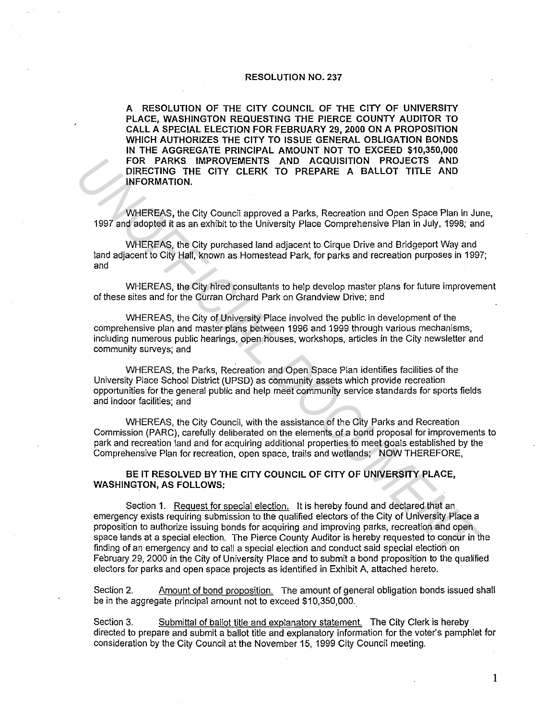## RESOLUTION NO. 237

A RESOLUTION OF THE CITY COUNCIL OF THE CITY OF UNIVERSITY PLACE, WASHINGTON REQUESTING THE PIERCE COUNTY AUDITOR TO CALL A SPECIAL ELECTION FOR FEBRUARY 29, 2000 ON A PROPOSITION WHICH AUTHORIZES THE CITY TO ISSUE GENERAL OBLIGATION BONDS IN THE AGGREGATE PRINCIPAL AMOUNT NOT TO EXCEED \$10,350,000 FOR PARKS IMPROVEMENTS AND ACQUISITION PROJECTS AND DIRECTING THE CITY CLERK TO PREPARE A BALLOT TITLE AND INFORMATION.

WHEREAS, the City Council approved a Parks, Recreation and Open Space Plan in June, 1997 and adopted it as an exhibit to the University Place Comprehensive Plan in July, 1998; and

WHEREAS, the City purchased land adjacent to Cirque Drive and Bridgeport Way and land adjacent to City Hall, known as Homestead Park, for parks and recreation purposes in 1997; and

WHEREAS, the City hired consultants to help develop master plans for future improvement of these sites and for the Curran Orchard Park on Grandview Drive; and

WHEREAS, the City of University Place involved the public in development of the comprehensive plan and master plans between 1996 and 1999 through various mechanisms, including numerous public hearings, open houses, workshops, articles in the City newsletter and community surveys; and

WHEREAS, the Parks, Recreation and Open Space Plan identifies facilities of the University Place School District (UPSD) as community assets which provide recreation opportunities for the general public and help meet community service standards for sports fields and indoor facilities; and

WHEREAS, the City Council, with the assistance of the City Parks and Recreation Commission (PARC), carefully deliberated on the elements of a bond proposal for improvements to park and recreation land and for acquiring additional properties to meet goals established by the Comprehensive Plan for recreation, open space, trails and wetlands; NOW THEREFORE,

BE IT RESOLVED BY THE CITY COUNCIL OF CITY OF UNIVERSITY PLACE, WASHINGTON, AS FOLLOWS:

Section 1. Request for special election. It is hereby found and declared that an emergency exists requiring submission to the qualified electors of the City of University Place a proposition to authorize issuing bonds for acquiring and improving parks, recreation and open space lands at a special election. The Pierce County Auditor is hereby requested to concur in the finding of an emergency and to call a special election and conduct said special election on February 29, 2000 in the City of University Place and to submit a bond proposition to the qualified electors for parks and open space projects as identified in Exhibit A, attached hereto. FOR PARKS IMPROVEMENTS AND ACQUISITION PROJECTS AND<br>
DIRECTING THE CITY CLERK TO PREPARE A BALLOT TITLE AND<br>
INFORMATION.<br>
WHEREAS, the City Council approved a Parks, Recreation and Open Space Plan in July, 1998; and<br>
1997

Section 2. Amount of bond proposition. The amount of general obligation bonds issued shall be in the aggregate principal amount not to exceed \$10,350,000.

Section 3. Submittal of ballot title and explanatory statement. The City Clerk is hereby directed to prepare and submit a ballot title and explanatory information for the voter's pamphlet for consideration by the City Council at the November 15, 1999 City Council meeting.

1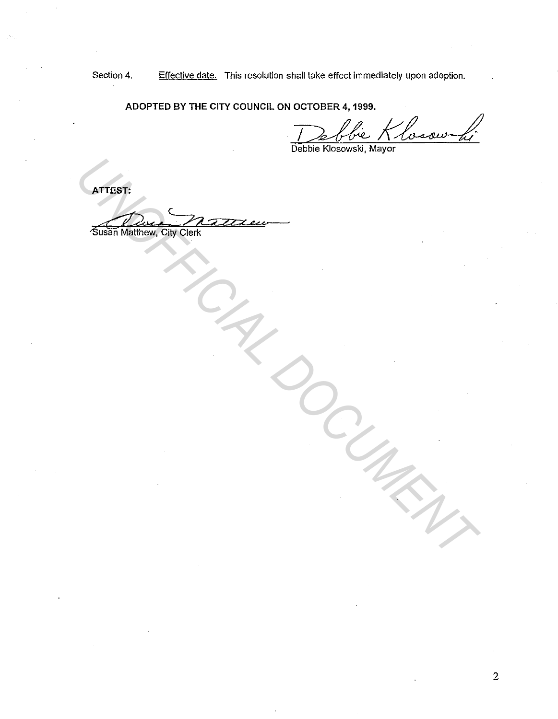Section 4. Effective date. This resolution shall take effect immediately upon adoption.

**ADOPTED BY THE CITY COUNCIL ON OCTOBER 4, 1999.** 

OCTOBER 4, 1999.<br>Debbie Klosowski, Mayor

**ATTEST:** 

'Susan Matthew. City Clerk ATTEST:<br>
SUSSIMMENT CINCO CONTRACTOR<br>
UNITED STRIKE ON THE CONTRACTOR OF THE CONTRACTOR OF THE CONTRACTOR OF THE CONTRACTOR